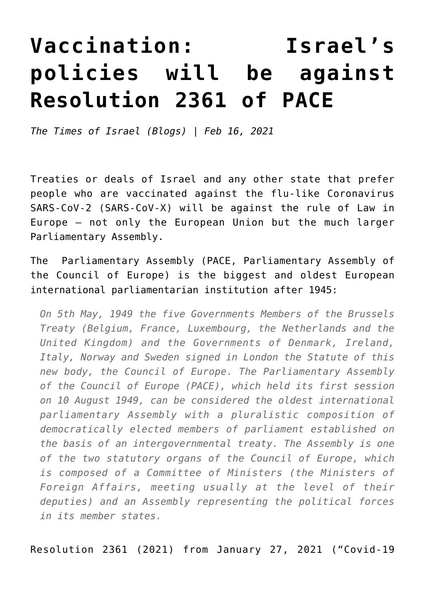## **[Vaccination: Israel's](https://www.clemensheni.net/vaccination-israels-policies-will-be-against-resolution-2361-of-pace/) [policies will be against](https://www.clemensheni.net/vaccination-israels-policies-will-be-against-resolution-2361-of-pace/) [Resolution 2361 of PACE](https://www.clemensheni.net/vaccination-israels-policies-will-be-against-resolution-2361-of-pace/)**

*[The Times of Israel \(Blogs\) | Feb 16, 2021](https://blogs.timesofisrael.com/vaccination-israels-policies-will-be-against-resolution-2361-of-pace/)*

Treaties or deals of Israel and any other state that prefer people who are vaccinated against the flu-like Coronavirus SARS-CoV-2 (SARS-CoV-X) will be against the rule of Law in Europe — not only the European Union but the much larger Parliamentary Assembly.

The [Parliamentary Assembly](https://pace.coe.int/en/pages/brief-origins) (PACE, Parliamentary Assembly of the Council of Europe) is the biggest and oldest European international parliamentarian institution after 1945:

*On 5th May, 1949 the five Governments Members of the Brussels Treaty (Belgium, France, Luxembourg, the Netherlands and the United Kingdom) and the Governments of Denmark, Ireland, Italy, Norway and Sweden signed in London the Statute of this new body, the Council of Europe. The Parliamentary Assembly of the Council of Europe (PACE), which held its first session on 10 August 1949, can be considered the oldest international parliamentary Assembly with a pluralistic composition of democratically elected members of parliament established on the basis of an intergovernmental treaty. The Assembly is one of the two statutory organs of the Council of Europe, which is composed of a Committee of Ministers (the Ministers of Foreign Affairs, meeting usually at the level of their deputies) and an Assembly representing the political forces in its member states.*

[Resolution 2361 \(2021\) from January 27, 2021 \("Covid-19](https://pace.coe.int/en/files/29004/html)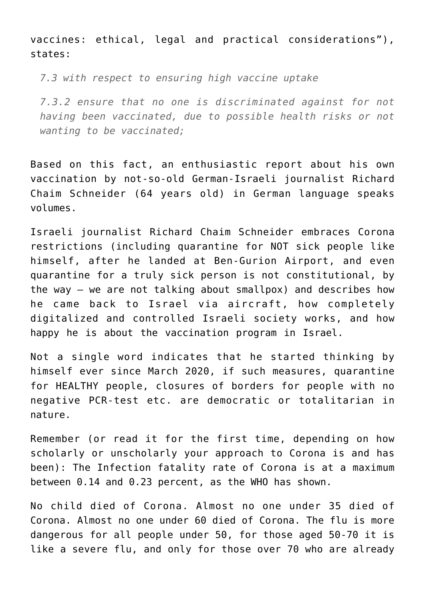[vaccines: ethical, legal and practical considerations"\),](https://pace.coe.int/en/files/29004/html) states:

*7.3 with respect to ensuring high vaccine uptake*

*7.3.2 ensure that no one is discriminated against for not having been vaccinated, due to possible health risks or not wanting to be vaccinated;*

Based on this fact, an enthusiastic report about his own vaccination by not-so-old German-Israeli journalist Richard Chaim Schneider (64 years old) in German language speaks volumes.

Israeli journalist [Richard Chaim Schneider](https://richard-c-schneider.com/schneiders-blog-pling-impfung-in-israel/?fbclid=IwAR11UWw9rCJRsfu-Fb_Z0OzV7pzSvFHQ8EUymh4sRQjhIhvaZ28Dd10UYg0) embraces Corona restrictions (including quarantine for NOT sick people like himself, after he landed at Ben-Gurion Airport, and even quarantine for a truly sick person is not constitutional, by the way – we are not talking about smallpox) and describes how he came back to Israel via aircraft, how completely digitalized and controlled Israeli society works, and how happy he is about the vaccination program in Israel.

Not a single word indicates that he started thinking by himself ever since March 2020, if such measures, quarantine for HEALTHY people, closures of borders for people with no negative PCR-test etc. are democratic or totalitarian in nature.

Remember (or read it for the first time, depending on how scholarly or unscholarly your approach to Corona is and has been): The Infection fatality rate of Corona is at a maximum between [0.14](https://www.irishtimes.com/news/ireland/irish-news/covid-19-world-in-for-a-hell-of-a-ride-in-coming-months-dr-mike-ryan-says-1.4370626) and [0.23](https://www.who.int/bulletin/online_first/BLT.20.265892.pdf) percent, as the WHO has shown.

No child died of Corona. Almost no one under 35 died of Corona. Almost no one under 60 died of Corona. The flu is more dangerous for all people under 50, for those aged 50-70 it is like a severe flu, and only for those over 70 who are already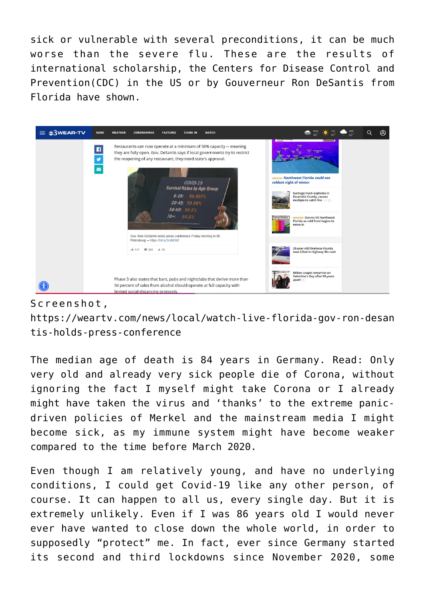sick or vulnerable with several preconditions, it can be much worse than the severe flu. These are the results of international scholarship, the Centers for Disease Control and Prevention(CDC) in the US or by Gouverneur [Ron DeSantis from](https://weartv.com/news/local/watch-live-florida-gov-ron-desantis-holds-press-conference) [Florida have shown.](https://weartv.com/news/local/watch-live-florida-gov-ron-desantis-holds-press-conference)



## Screenshot,

[https://weartv.com/news/local/watch-live-florida-gov-ron-desan](https://weartv.com/news/local/watch-live-florida-gov-ron-desantis-holds-press-conference) [tis-holds-press-conference](https://weartv.com/news/local/watch-live-florida-gov-ron-desantis-holds-press-conference)

The median age of death is 84 years in Germany. Read: Only very old and already very sick people die of Corona, without ignoring the fact I myself might take Corona or I already might have taken the virus and 'thanks' to the extreme panicdriven policies of Merkel and the mainstream media I might become sick, as my immune system might have become weaker compared to the time before March 2020.

Even though I am relatively young, and have no underlying conditions, I could get Covid-19 like any other person, of course. It can happen to all us, every single day. But it is extremely unlikely. Even if I was 86 years old I would never ever have wanted to close down the whole world, in order to supposedly "protect" me. In fact, ever since Germany started its second and third lockdowns since November 2020, some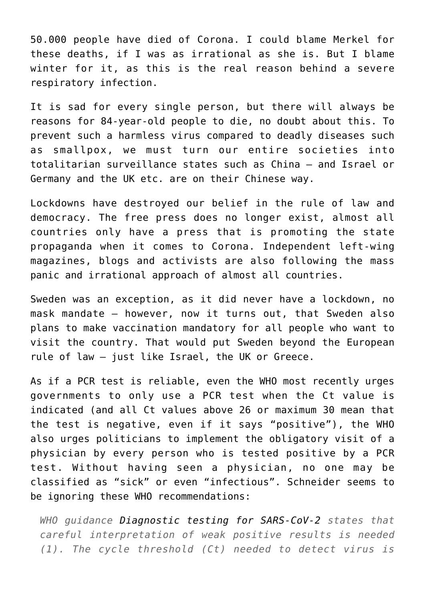50.000 people have died of Corona. I could blame Merkel for these deaths, if I was as irrational as she is. But I blame winter for it, as this is the real reason behind a severe respiratory infection.

It is sad for every single person, but there will always be reasons for 84-year-old people to die, no doubt about this. To prevent such a harmless virus compared to deadly diseases such as smallpox, we must turn our entire societies into totalitarian surveillance states such as China — and Israel or Germany and the UK etc. are on their Chinese way.

Lockdowns have destroyed our belief in the rule of law and democracy. The free press does no longer exist, almost all countries only have a press that is promoting the state propaganda when it comes to Corona. Independent left-wing magazines, blogs and activists are also following the mass panic and irrational approach of almost all countries.

Sweden was an exception, as it did never have a lockdown, no mask mandate – [however, now it turns out, that Sweden also](https://www.achgut.com/artikel/einreise_nach_schweden_ab_1._juni_nur_mit_corona_impfung) [plans to make vaccination mandatory for all people who want to](https://www.achgut.com/artikel/einreise_nach_schweden_ab_1._juni_nur_mit_corona_impfung) [visit the country.](https://www.achgut.com/artikel/einreise_nach_schweden_ab_1._juni_nur_mit_corona_impfung) That would put Sweden beyond the European rule of law – just like Israel, the UK or Greece.

As if a PCR test is reliable, even the WHO most recently urges governments to only use a PCR test when the Ct value is indicated (and all Ct values above 26 or maximum 30 mean that the test is negative, even if it says "positive"), the WHO also urges politicians to implement the obligatory visit of a physician by every person who is tested positive by a PCR test. Without having seen a physician, no one may be classified as "sick" or even "infectious". Schneider seems to be ignoring these [WHO recommendations:](https://www.who.int/news/item/20-01-2021-who-information-notice-for-ivd-users-2020-05)

*WHO guidance [Diagnostic testing for SARS-CoV-2](https://www.who.int/publications-detail-redirect/diagnostic-testing-for-sars-cov-2) states that careful interpretation of weak positive results is needed (1). The cycle threshold (Ct) needed to detect virus is*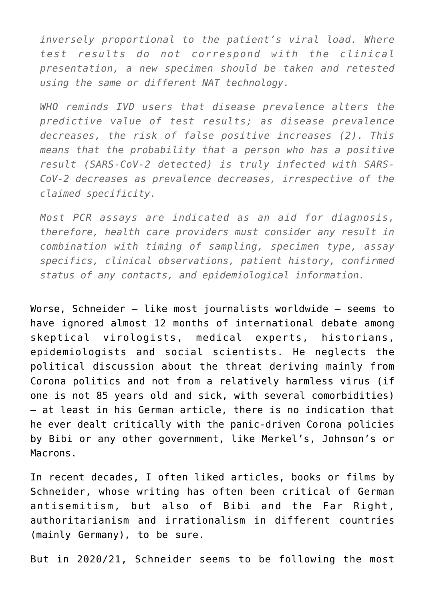*inversely proportional to the patient's viral load. Where test results do not correspond with the clinical presentation, a new specimen should be taken and retested using the same or different NAT technology.*

*WHO reminds IVD users that disease prevalence alters the predictive value of test results; as disease prevalence decreases, the risk of false positive increases (2). This means that the probability that a person who has a positive result (SARS-CoV-2 detected) is truly infected with SARS-CoV-2 decreases as prevalence decreases, irrespective of the claimed specificity.*

*Most PCR assays are indicated as an aid for diagnosis, therefore, health care providers must consider any result in combination with timing of sampling, specimen type, assay specifics, clinical observations, patient history, confirmed status of any contacts, and epidemiological information.*

Worse, Schneider — like most journalists worldwide — seems to have ignored almost 12 months of international debate among skeptical virologists, medical experts, historians, epidemiologists and social scientists. He neglects the political discussion about the threat deriving mainly from Corona politics and not from a relatively harmless virus (if one is not 85 years old and sick, with several comorbidities) — at least in his German article, there is no indication that he ever dealt critically with the panic-driven Corona policies by Bibi or any other government, like Merkel's, Johnson's or Macrons.

In recent decades, [I often liked articles, books or films by](https://www.clemensheni.net/are-anti-germans-evil/) [Schneider,](https://www.clemensheni.net/are-anti-germans-evil/) whose writing has often been critical of German antisemitism, but also of Bibi and the Far Right, authoritarianism and irrationalism in different countries (mainly Germany), to be sure.

But in 2020/21, Schneider seems to be following the most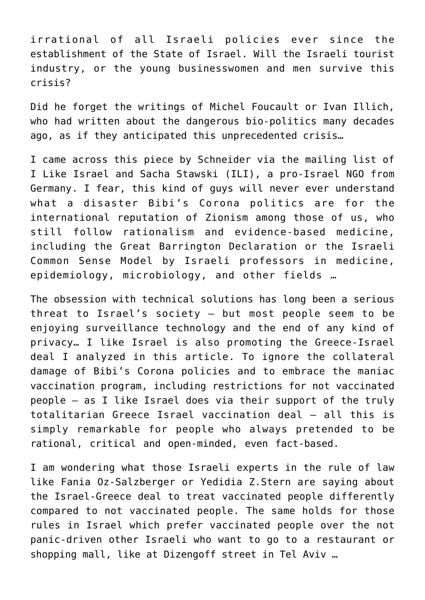irrational of all Israeli policies ever since the establishment of the State of Israel. Will the Israeli tourist industry, or the young businesswomen and men survive this crisis?

Did he forget the writings of Michel Foucault or Ivan Illich, who had written about the dangerous bio-politics many decades ago, as if they anticipated this unprecedented crisis…

I came across this piece by Schneider via the mailing list of [I Like Israel and Sacha Stawski \(ILI\)](http://www.il-israel.org/nl/210214/index.html), a pro-Israel NGO from Germany. I fear, this kind of guys will never ever understand what a disaster Bibi's Corona politics are for the international reputation of Zionism among those of us, who still follow rationalism and evidence-based medicine, including the Great Barrington Declaration or the Israeli Common Sense Model by Israeli professors in medicine, epidemiology, microbiology, and other fields …

The obsession with technical solutions has long been a serious threat to Israel's society — but most people seem to be enjoying surveillance technology and the end of any kind of privacy… I like Israel is also promoting the Greece-Israel deal I analyzed in this article. To ignore the collateral damage of Bibi's Corona policies and to embrace the maniac vaccination program, including restrictions for not vaccinated people — as I like Israel does via their support of the truly totalitarian Greece Israel vaccination deal — all this is simply remarkable for people who always pretended to be rational, critical and open-minded, even fact-based.

I am wondering what those Israeli experts in the rule of law like Fania Oz-Salzberger or Yedidia Z.Stern are saying about the Israel-Greece deal to treat vaccinated people differently compared to not vaccinated people. The same holds for those rules in Israel which prefer vaccinated people over the not panic-driven other Israeli who want to go to a restaurant or shopping mall, like at Dizengoff street in Tel Aviv …